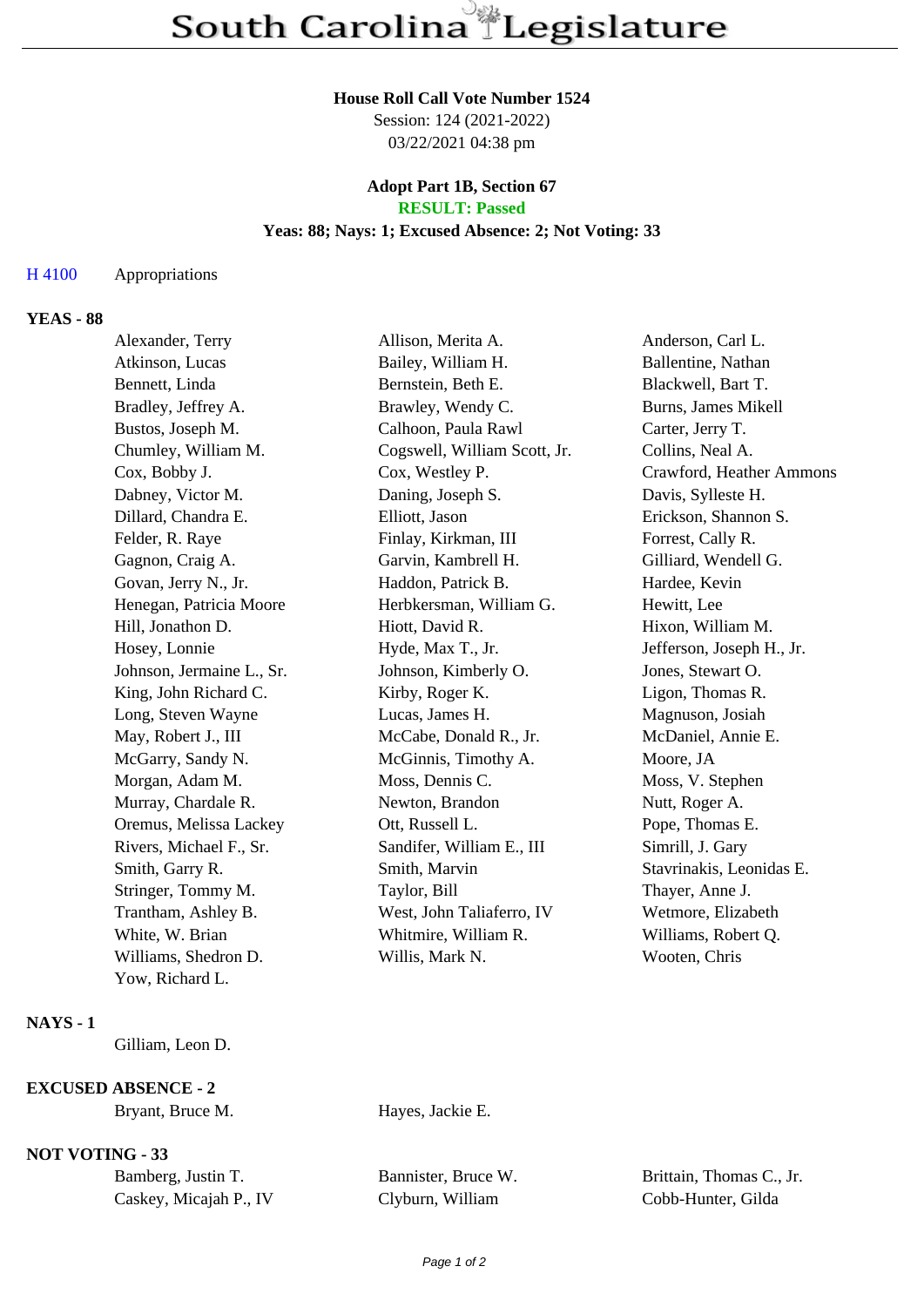### **House Roll Call Vote Number 1524**

Session: 124 (2021-2022) 03/22/2021 04:38 pm

### **Adopt Part 1B, Section 67 RESULT: Passed**

### **Yeas: 88; Nays: 1; Excused Absence: 2; Not Voting: 33**

### H 4100 Appropriations

## **YEAS - 88**

| Alexander, Terry          | Allison, Merita A.           | Anderson, Carl L.         |
|---------------------------|------------------------------|---------------------------|
| Atkinson, Lucas           | Bailey, William H.           | Ballentine, Nathan        |
| Bennett, Linda            | Bernstein, Beth E.           | Blackwell, Bart T.        |
| Bradley, Jeffrey A.       | Brawley, Wendy C.            | Burns, James Mikell       |
| Bustos, Joseph M.         | Calhoon, Paula Rawl          | Carter, Jerry T.          |
| Chumley, William M.       | Cogswell, William Scott, Jr. | Collins, Neal A.          |
| Cox, Bobby J.             | Cox, Westley P.              | Crawford, Heather Ammons  |
| Dabney, Victor M.         | Daning, Joseph S.            | Davis, Sylleste H.        |
| Dillard, Chandra E.       | Elliott, Jason               | Erickson, Shannon S.      |
| Felder, R. Raye           | Finlay, Kirkman, III         | Forrest, Cally R.         |
| Gagnon, Craig A.          | Garvin, Kambrell H.          | Gilliard, Wendell G.      |
| Govan, Jerry N., Jr.      | Haddon, Patrick B.           | Hardee, Kevin             |
| Henegan, Patricia Moore   | Herbkersman, William G.      | Hewitt, Lee               |
| Hill, Jonathon D.         | Hiott, David R.              | Hixon, William M.         |
| Hosey, Lonnie             | Hyde, Max T., Jr.            | Jefferson, Joseph H., Jr. |
| Johnson, Jermaine L., Sr. | Johnson, Kimberly O.         | Jones, Stewart O.         |
| King, John Richard C.     | Kirby, Roger K.              | Ligon, Thomas R.          |
| Long, Steven Wayne        | Lucas, James H.              | Magnuson, Josiah          |
| May, Robert J., III       | McCabe, Donald R., Jr.       | McDaniel, Annie E.        |
| McGarry, Sandy N.         | McGinnis, Timothy A.         | Moore, JA                 |
| Morgan, Adam M.           | Moss, Dennis C.              | Moss, V. Stephen          |
| Murray, Chardale R.       | Newton, Brandon              | Nutt, Roger A.            |
| Oremus, Melissa Lackey    | Ott, Russell L.              | Pope, Thomas E.           |
| Rivers, Michael F., Sr.   | Sandifer, William E., III    | Simrill, J. Gary          |
| Smith, Garry R.           | Smith, Marvin                | Stavrinakis, Leonidas E.  |
| Stringer, Tommy M.        | Taylor, Bill                 | Thayer, Anne J.           |
| Trantham, Ashley B.       | West, John Taliaferro, IV    | Wetmore, Elizabeth        |
| White, W. Brian           | Whitmire, William R.         | Williams, Robert Q.       |
| Williams, Shedron D.      | Willis, Mark N.              | Wooten, Chris             |
| Yow, Richard L.           |                              |                           |

#### **NAYS - 1**

Gilliam, Leon D.

# **EXCUSED ABSENCE - 2**

Bryant, Bruce M. Hayes, Jackie E.

## **NOT VOTING - 33**

Caskey, Micajah P., IV Clyburn, William Cobb-Hunter, Gilda

Bamberg, Justin T. Bannister, Bruce W. Brittain, Thomas C., Jr.